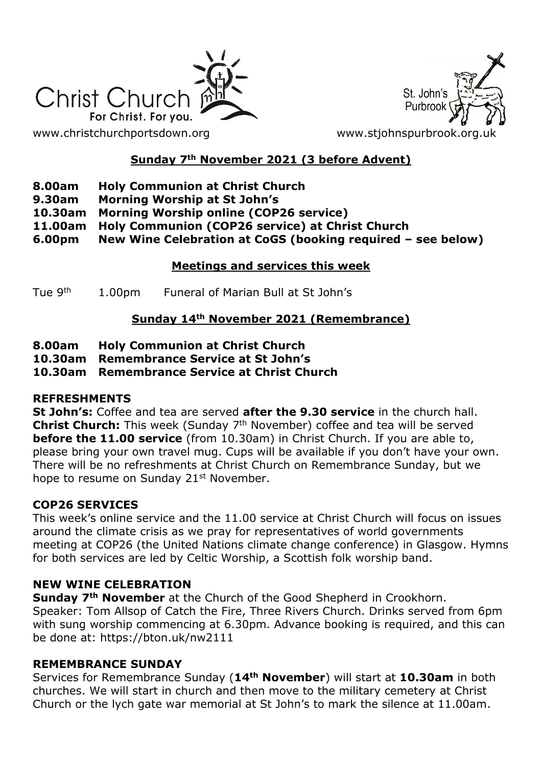

St. John's Purbroo

# **Sunday 7th November 2021 (3 before Advent)**

- **8.00am Holy Communion at Christ Church**
- **9.30am Morning Worship at St John's**
- **10.30am Morning Worship online (COP26 service)**
- **11.00am Holy Communion (COP26 service) at Christ Church**
- **6.00pm New Wine Celebration at CoGS (booking required – see below)**

### **Meetings and services this week**

Tue 9<sup>th</sup> 1.00pm Funeral of Marian Bull at St John's

# **Sunday 14th November 2021 (Remembrance)**

- **8.00am Holy Communion at Christ Church**
- **10.30am Remembrance Service at St John's**

**10.30am Remembrance Service at Christ Church**

#### **REFRESHMENTS**

**St John's:** Coffee and tea are served **after the 9.30 service** in the church hall. **Christ Church:** This week (Sunday 7<sup>th</sup> November) coffee and tea will be served **before the 11.00 service** (from 10.30am) in Christ Church. If you are able to, please bring your own travel mug. Cups will be available if you don't have your own. There will be no refreshments at Christ Church on Remembrance Sunday, but we hope to resume on Sunday 21<sup>st</sup> November.

# **COP26 SERVICES**

This week's online service and the 11.00 service at Christ Church will focus on issues around the climate crisis as we pray for representatives of world governments meeting at COP26 (the United Nations climate change conference) in Glasgow. Hymns for both services are led by Celtic Worship, a Scottish folk worship band.

# **NEW WINE CELEBRATION**

**Sunday 7th November** at the Church of the Good Shepherd in Crookhorn. Speaker: Tom Allsop of Catch the Fire, Three Rivers Church. Drinks served from 6pm with sung worship commencing at 6.30pm. Advance booking is required, and this can be done at: https://bton.uk/nw2111

#### **REMEMBRANCE SUNDAY**

Services for Remembrance Sunday (**14th November**) will start at **10.30am** in both churches. We will start in church and then move to the military cemetery at Christ Church or the lych gate war memorial at St John's to mark the silence at 11.00am.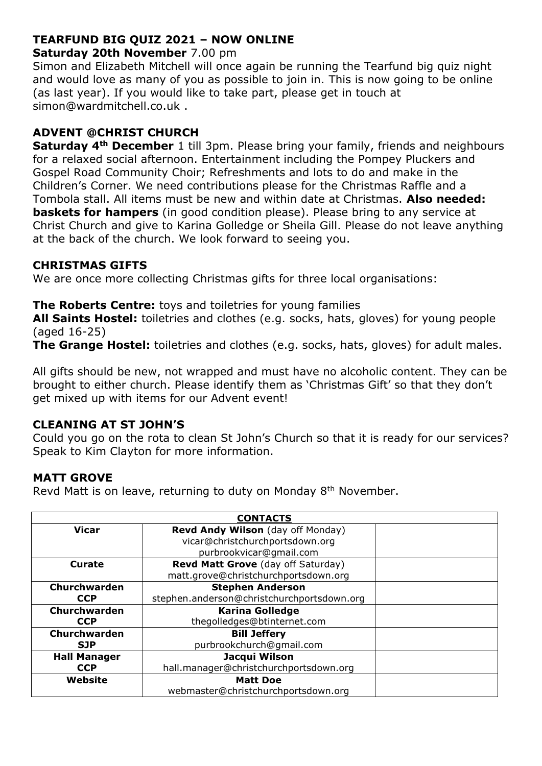# **TEARFUND BIG QUIZ 2021 – NOW ONLINE**

#### **Saturday 20th November** 7.00 pm

Simon and Elizabeth Mitchell will once again be running the Tearfund big quiz night and would love as many of you as possible to join in. This is now going to be online (as last year). If you would like to take part, please get in touch at simon@wardmitchell.co.uk .

# **ADVENT @CHRIST CHURCH**

**Saturday 4th December** 1 till 3pm. Please bring your family, friends and neighbours for a relaxed social afternoon. Entertainment including the Pompey Pluckers and Gospel Road Community Choir; Refreshments and lots to do and make in the Children's Corner. We need contributions please for the Christmas Raffle and a Tombola stall. All items must be new and within date at Christmas. **Also needed: baskets for hampers** (in good condition please). Please bring to any service at Christ Church and give to Karina Golledge or Sheila Gill. Please do not leave anything at the back of the church. We look forward to seeing you.

#### **CHRISTMAS GIFTS**

We are once more collecting Christmas gifts for three local organisations:

**The Roberts Centre:** toys and toiletries for young families

**All Saints Hostel:** toiletries and clothes (e.g. socks, hats, gloves) for young people (aged 16-25)

**The Grange Hostel:** toiletries and clothes (e.g. socks, hats, gloves) for adult males.

All gifts should be new, not wrapped and must have no alcoholic content. They can be brought to either church. Please identify them as 'Christmas Gift' so that they don't get mixed up with items for our Advent event!

# **CLEANING AT ST JOHN'S**

Could you go on the rota to clean St John's Church so that it is ready for our services? Speak to Kim Clayton for more information.

# **MATT GROVE**

Revd Matt is on leave, returning to duty on Monday 8<sup>th</sup> November.

| <b>CONTACTS</b>     |                                            |  |
|---------------------|--------------------------------------------|--|
| <b>Vicar</b>        | Revd Andy Wilson (day off Monday)          |  |
|                     | vicar@christchurchportsdown.org            |  |
|                     | purbrookvicar@gmail.com                    |  |
| Curate              | Revd Matt Grove (day off Saturday)         |  |
|                     | matt.grove@christchurchportsdown.org       |  |
| Churchwarden        | <b>Stephen Anderson</b>                    |  |
| <b>CCP</b>          | stephen.anderson@christchurchportsdown.org |  |
| Churchwarden        | <b>Karina Golledge</b>                     |  |
| <b>CCP</b>          | thegolledges@btinternet.com                |  |
| Churchwarden        | <b>Bill Jeffery</b>                        |  |
| <b>SJP</b>          | purbrookchurch@gmail.com                   |  |
| <b>Hall Manager</b> | Jacqui Wilson                              |  |
| <b>CCP</b>          | hall.manager@christchurchportsdown.org     |  |
| Website             | <b>Matt Doe</b>                            |  |
|                     | webmaster@christchurchportsdown.org        |  |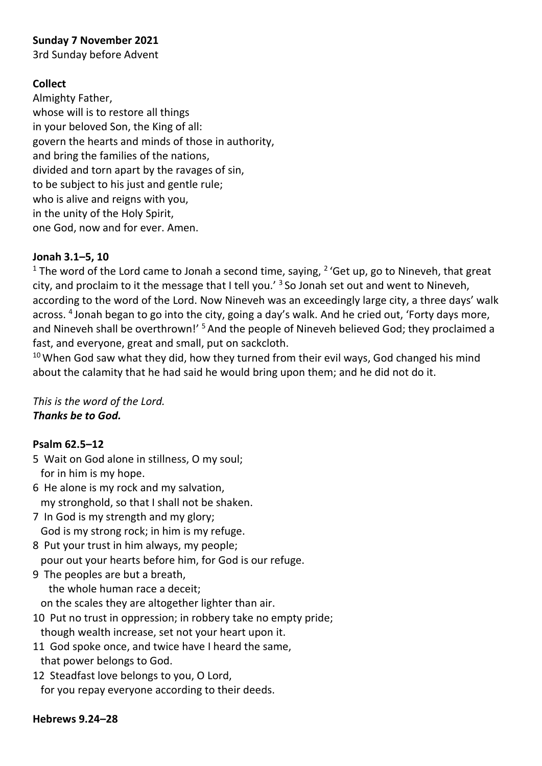### **Sunday 7 November 2021**

3rd Sunday before Advent

### **Collect**

Almighty Father, whose will is to restore all things in your beloved Son, the King of all: govern the hearts and minds of those in authority, and bring the families of the nations, divided and torn apart by the ravages of sin, to be subject to his just and gentle rule; who is alive and reigns with you, in the unity of the Holy Spirit, one God, now and for ever. Amen.

#### **Jonah 3.1–5, 10**

<sup>1</sup> The word of the Lord came to Jonah a second time, saying,  $2'$  Get up, go to Nineveh, that great city, and proclaim to it the message that I tell you.<sup>'</sup> 3So Jonah set out and went to Nineveh, according to the word of the Lord. Now Nineveh was an exceedingly large city, a three days' walk across. <sup>4</sup> Jonah began to go into the city, going a day's walk. And he cried out, 'Forty days more, and Nineveh shall be overthrown!' <sup>5</sup> And the people of Nineveh believed God; they proclaimed a fast, and everyone, great and small, put on sackcloth.

 $10$  When God saw what they did, how they turned from their evil ways, God changed his mind about the calamity that he had said he would bring upon them; and he did not do it.

*This is the word of the Lord. Thanks be to God.*

# **Psalm 62.5–12**

- 5 Wait on God alone in stillness, O my soul; for in him is my hope.
- 6 He alone is my rock and my salvation, my stronghold, so that I shall not be shaken.
- 7 In God is my strength and my glory; God is my strong rock; in him is my refuge.
- 8 Put your trust in him always, my people; pour out your hearts before him, for God is our refuge.
- 9 The peoples are but a breath, the whole human race a deceit;

on the scales they are altogether lighter than air.

- 10 Put no trust in oppression; in robbery take no empty pride; though wealth increase, set not your heart upon it.
- 11 God spoke once, and twice have I heard the same, that power belongs to God.
- 12 Steadfast love belongs to you, O Lord, for you repay everyone according to their deeds.